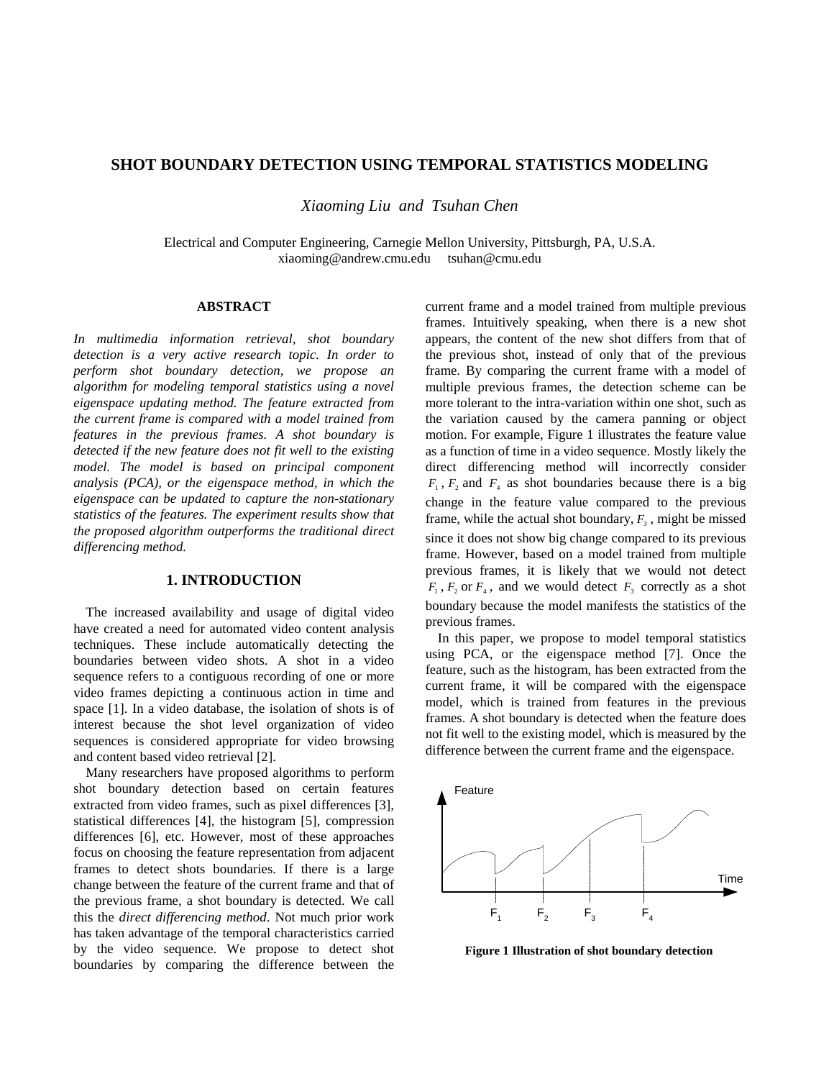## **SHOT BOUNDARY DETECTION USING TEMPORAL STATISTICS MODELING**

*Xiaoming Liu and Tsuhan Chen*

Electrical and Computer Engineering, Carnegie Mellon University, Pittsburgh, PA, U.S.A. xiaoming@andrew.cmu.edu tsuhan@cmu.edu

### **ABSTRACT**

*In multimedia information retrieval, shot boundary detection is a very active research topic. In order to perform shot boundary detection, we propose an algorithm for modeling temporal statistics using a novel eigenspace updating method. The feature extracted from the current frame is compared with a model trained from features in the previous frames. A shot boundary is detected if the new feature does not fit well to the existing model. The model is based on principal component analysis (PCA), or the eigenspace method, in which the eigenspace can be updated to capture the non-stationary statistics of the features. The experiment results show that the proposed algorithm outperforms the traditional direct differencing method.*

### **1. INTRODUCTION**

The increased availability and usage of digital video have created a need for automated video content analysis techniques. These include automatically detecting the boundaries between video shots. A shot in a video sequence refers to a contiguous recording of one or more video frames depicting a continuous action in time and space [1]. In a video database, the isolation of shots is of interest because the shot level organization of video sequences is considered appropriate for video browsing and content based video retrieval [2].

Many researchers have proposed algorithms to perform shot boundary detection based on certain features extracted from video frames, such as pixel differences [3], statistical differences [4], the histogram [5], compression differences [6], etc. However, most of these approaches focus on choosing the feature representation from adjacent frames to detect shots boundaries. If there is a large change between the feature of the current frame and that of the previous frame, a shot boundary is detected. We call this the *direct differencing method*. Not much prior work has taken advantage of the temporal characteristics carried by the video sequence. We propose to detect shot boundaries by comparing the difference between the

current frame and a model trained from multiple previous frames. Intuitively speaking, when there is a new shot appears, the content of the new shot differs from that of the previous shot, instead of only that of the previous frame. By comparing the current frame with a model of multiple previous frames, the detection scheme can be more tolerant to the intra-variation within one shot, such as the variation caused by the camera panning or object motion. For example, Figure 1 illustrates the feature value as a function of time in a video sequence. Mostly likely the direct differencing method will incorrectly consider  $F_1$ ,  $F_2$  and  $F_4$  as shot boundaries because there is a big change in the feature value compared to the previous frame, while the actual shot boundary,  $F_3$ , might be missed since it does not show big change compared to its previous frame. However, based on a model trained from multiple previous frames, it is likely that we would not detect  $F_1$ ,  $F_2$  or  $F_4$ , and we would detect  $F_3$  correctly as a shot boundary because the model manifests the statistics of the previous frames.

In this paper, we propose to model temporal statistics using PCA, or the eigenspace method [7]. Once the feature, such as the histogram, has been extracted from the current frame, it will be compared with the eigenspace model, which is trained from features in the previous frames. A shot boundary is detected when the feature does not fit well to the existing model, which is measured by the difference between the current frame and the eigenspace.



**Figure 1 Illustration of shot boundary detection**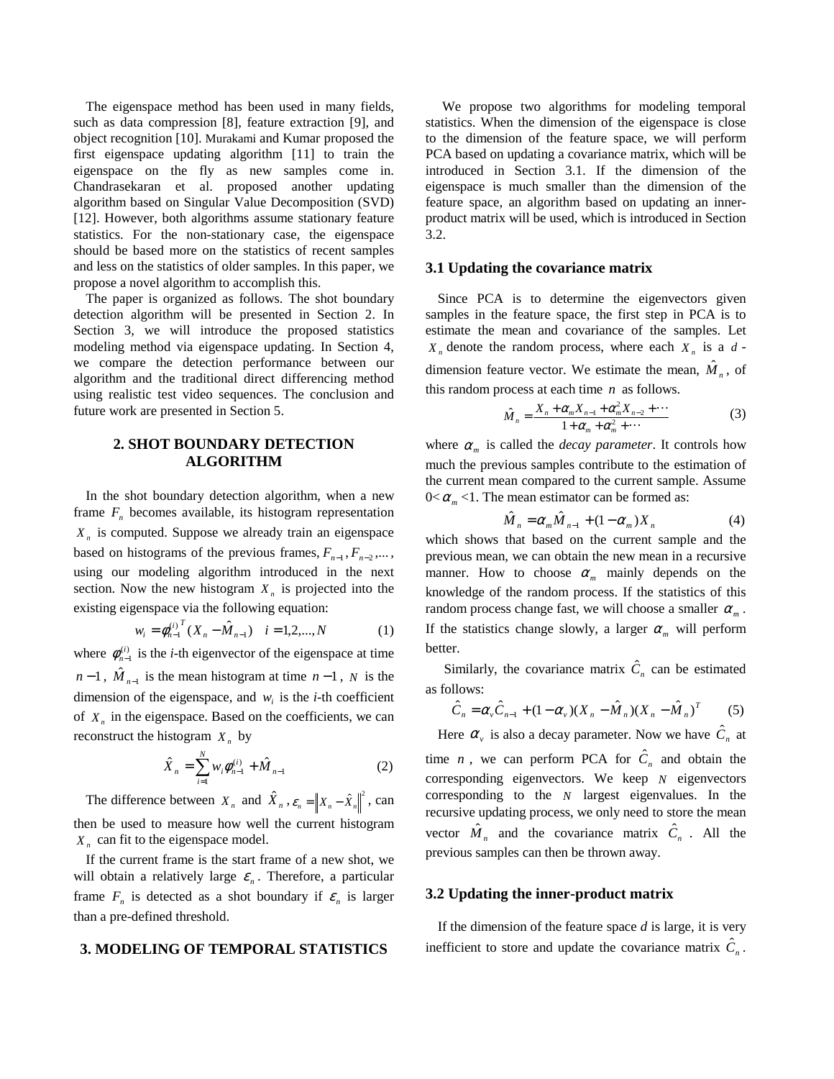The eigenspace method has been used in many fields, such as data compression [8], feature extraction [9], and object recognition [10]. Murakami and Kumar proposed the first eigenspace updating algorithm [11] to train the eigenspace on the fly as new samples come in. Chandrasekaran et al. proposed another updating algorithm based on Singular Value Decomposition (SVD) [12]. However, both algorithms assume stationary feature statistics. For the non-stationary case, the eigenspace should be based more on the statistics of recent samples and less on the statistics of older samples. In this paper, we propose a novel algorithm to accomplish this.

The paper is organized as follows. The shot boundary detection algorithm will be presented in Section 2. In Section 3, we will introduce the proposed statistics modeling method via eigenspace updating. In Section 4, we compare the detection performance between our algorithm and the traditional direct differencing method using realistic test video sequences. The conclusion and future work are presented in Section 5.

# **2. SHOT BOUNDARY DETECTION ALGORITHM**

In the shot boundary detection algorithm, when a new frame  $F_n$  becomes available, its histogram representation  $X_n$  is computed. Suppose we already train an eigenspace based on histograms of the previous frames,  $F_{n-1}$ ,  $F_{n-2}$ ,... using our modeling algorithm introduced in the next section. Now the new histogram  $X<sub>n</sub>$  is projected into the existing eigenspace via the following equation:

$$
w_i = \phi_{n-1}^{(i)} \, X_n - \hat{M}_{n-1} \, i = 1, 2, \dots, N \tag{1}
$$

where  $\phi_{n-1}^{(i)}$  is the *i*-th eigenvector of the eigenspace at time  $n-1$ ,  $\hat{M}_{n-1}$  is the mean histogram at time  $n-1$ , *N* is the dimension of the eigenspace, and  $w_i$  is the *i*-th coefficient of  $X_n$  in the eigenspace. Based on the coefficients, we can reconstruct the histogram  $X_n$  by

$$
\hat{X}_n = \sum_{i=1}^N w_i \phi_{n-1}^{(i)} + \hat{M}_{n-1}
$$
 (2)

The difference between  $X_n$  and  $\hat{X}_n$ ,  $\varepsilon_n = ||X_n - \hat{X}_n||^2$ , can then be used to measure how well the current histogram *X <sup>n</sup>* can fit to the eigenspace model.

If the current frame is the start frame of a new shot, we will obtain a relatively large  $\varepsilon_n$ . Therefore, a particular frame  $F_n$  is detected as a shot boundary if  $\varepsilon_n$  is larger than a pre-defined threshold.

#### **3. MODELING OF TEMPORAL STATISTICS**

We propose two algorithms for modeling temporal statistics. When the dimension of the eigenspace is close to the dimension of the feature space, we will perform PCA based on updating a covariance matrix, which will be introduced in Section 3.1. If the dimension of the eigenspace is much smaller than the dimension of the feature space, an algorithm based on updating an innerproduct matrix will be used, which is introduced in Section 3.2.

### **3.1 Updating the covariance matrix**

Since PCA is to determine the eigenvectors given samples in the feature space, the first step in PCA is to estimate the mean and covariance of the samples. Let  $X_n$  denote the random process, where each  $X_n$  is a  $d$ dimension feature vector. We estimate the mean,  $\hat{M}_n$ , of this random process at each time *n* as follows.

$$
\hat{M}_n = \frac{X_n + \alpha_m X_{n-1} + \alpha_m^2 X_{n-2} + \cdots}{1 + \alpha_m + \alpha_m^2 + \cdots}
$$
 (3)

where  $\alpha_m$  is called the *decay parameter*. It controls how much the previous samples contribute to the estimation of the current mean compared to the current sample. Assume  $0 < \alpha_m < 1$ . The mean estimator can be formed as:

$$
\hat{M}_n = \alpha_m \hat{M}_{n-1} + (1 - \alpha_m) X_n \tag{4}
$$

which shows that based on the current sample and the previous mean, we can obtain the new mean in a recursive manner. How to choose  $\alpha_m$  mainly depends on the knowledge of the random process. If the statistics of this random process change fast, we will choose a smaller  $\alpha_m$ . If the statistics change slowly, a larger  $\alpha_m$  will perform better.

Similarly, the covariance matrix  $\hat{C}_n$  can be estimated as follows:

$$
\hat{C}_n = \alpha_v \hat{C}_{n-1} + (1 - \alpha_v)(X_n - \hat{M}_n)(X_n - \hat{M}_n)^T
$$
 (5)

Here  $\alpha_{\nu}$  is also a decay parameter. Now we have  $\hat{C}_n$  at time *n*, we can perform PCA for  $\hat{C}_n$  and obtain the corresponding eigenvectors. We keep *N* eigenvectors corresponding to the *N* largest eigenvalues. In the recursive updating process, we only need to store the mean vector  $\hat{M}_n$  and the covariance matrix  $\hat{C}_n$ . All the previous samples can then be thrown away.

### **3.2 Updating the inner-product matrix**

If the dimension of the feature space *d* is large, it is very inefficient to store and update the covariance matrix  $\hat{C}_n$ .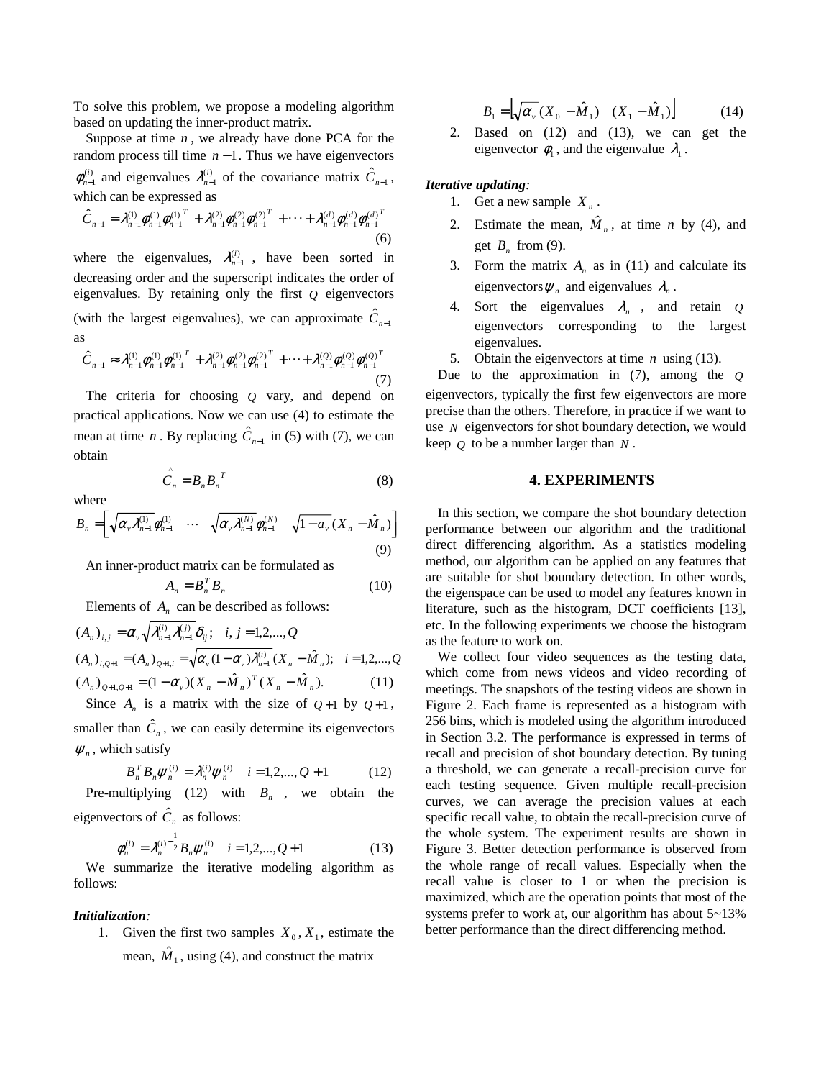To solve this problem, we propose a modeling algorithm based on updating the inner-product matrix.

Suppose at time  $n$ , we already have done PCA for the random process till time *n* −1. Thus we have eigenvectors  $\phi_{n-1}^{(i)}$  and eigenvalues  $\lambda_{n-1}^{(i)}$  of the covariance matrix  $\hat{C}_{n-1}$ , which can be expressed as

$$
\hat{C}_{n-1} = \lambda_{n-1}^{(1)} \phi_{n-1}^{(1)} \phi_{n-1}^{(1)}^T + \lambda_{n-1}^{(2)} \phi_{n-1}^{(2)} \phi_{n-1}^{(2)T} + \dots + \lambda_{n-1}^{(d)} \phi_{n-1}^{(d)} \phi_{n-1}^{(d)T}
$$
\n(6)

where the eigenvalues,  $\lambda_{n-1}^{(i)}$ , have been sorted in decreasing order and the superscript indicates the order of eigenvalues. By retaining only the first *Q* eigenvectors (with the largest eigenvalues), we can approximate  $\hat{C}_{n-1}$ as

$$
\hat{C}_{n-1} \approx \lambda_{n-1}^{(1)} \phi_{n-1}^{(1)} \phi_{n-1}^{(1)} + \lambda_{n-1}^{(2)} \phi_{n-1}^{(2)} \phi_{n-1}^{(2)} + \dots + \lambda_{n-1}^{(Q)} \phi_{n-1}^{(Q)} \phi_{n-1}^{(Q)^T}
$$
\n(7)

The criteria for choosing *Q* vary, and depend on practical applications. Now we can use (4) to estimate the mean at time *n*. By replacing  $\hat{C}_{n-1}$  in (5) with (7), we can obtain

$$
\hat{C}_n = B_n B_n^T \tag{8}
$$

where

$$
B_n = \left[ \sqrt{\alpha_v \lambda_{n-1}^{(1)}} \phi_{n-1}^{(1)} \cdots \sqrt{\alpha_v \lambda_{n-1}^{(N)}} \phi_{n-1}^{(N)} \sqrt{1 - a_v} (X_n - \hat{M}_n) \right]
$$
\n(9)

An inner-product matrix can be formulated as

$$
A_n = B_n^T B_n \tag{10}
$$

Elements of  $A_n$  can be described as follows:

$$
(A_n)_{i,j} = \alpha_v \sqrt{\lambda_{n-1}^{(i)} \lambda_{n-1}^{(j)}} \delta_{ij}; \quad i, j = 1, 2, ..., Q
$$
  
\n
$$
(A_n)_{i, Q+1} = (A_n)_{Q+1,i} = \sqrt{\alpha_v (1 - \alpha_v) \lambda_{n-1}^{(i)}} (X_n - \hat{M}_n); \quad i = 1, 2, ..., Q
$$
  
\n
$$
(A_n)_{Q+1, Q+1} = (1 - \alpha_v) (X_n - \hat{M}_n)^T (X_n - \hat{M}_n).
$$
 (11)

Since  $A_n$  is a matrix with the size of  $Q+1$  by  $Q+1$ , smaller than  $\hat{C}_n$ , we can easily determine its eigenvectors  $\psi_n$ , which satisfy

$$
B_n^T B_n \psi_n^{(i)} = \lambda_n^{(i)} \psi_n^{(i)} \quad i = 1, 2, ..., Q + 1 \tag{12}
$$

Pre-multiplying (12) with  $B_n$ , we obtain the eigenvectors of  $\hat{C}_n$  as follows:

$$
\phi_n^{(i)} = \lambda_n^{(i)} \frac{1}{2} B_n \psi_n^{(i)} \quad i = 1, 2, ..., Q+1
$$
 (13)

We summarize the iterative modeling algorithm as follows:

#### *Initialization:*

1. Given the first two samples  $X_0, X_1$ , estimate the mean,  $\hat{M}_1$ , using (4), and construct the matrix

$$
B_1 = \left[ \sqrt{\alpha_v} \left( X_0 - \hat{M}_1 \right) \quad \left( X_1 - \hat{M}_1 \right) \right] \tag{14}
$$

2. Based on (12) and (13), we can get the eigenvector  $\phi_1$ , and the eigenvalue  $\lambda_1$ .

## *Iterative updating:*

- 1. Get a new sample  $X_n$ .
- 2. Estimate the mean,  $\hat{M}_n$ , at time *n* by (4), and get  $B_n$  from (9).
- 3. Form the matrix  $A_n$  as in (11) and calculate its eigenvectors  $\psi_n$  and eigenvalues  $\lambda_n$ .
- 4. Sort the eigenvalues  $\lambda_n$ , and retain *Q* eigenvectors corresponding to the largest eigenvalues.
- 5. Obtain the eigenvectors at time *n* using (13).

Due to the approximation in (7), among the *Q* eigenvectors, typically the first few eigenvectors are more precise than the others. Therefore, in practice if we want to use *N* eigenvectors for shot boundary detection, we would keep *Q* to be a number larger than *N* .

#### **4. EXPERIMENTS**

In this section, we compare the shot boundary detection performance between our algorithm and the traditional direct differencing algorithm. As a statistics modeling method, our algorithm can be applied on any features that are suitable for shot boundary detection. In other words, the eigenspace can be used to model any features known in literature, such as the histogram, DCT coefficients [13], etc. In the following experiments we choose the histogram as the feature to work on.

We collect four video sequences as the testing data, which come from news videos and video recording of meetings. The snapshots of the testing videos are shown in Figure 2. Each frame is represented as a histogram with 256 bins, which is modeled using the algorithm introduced in Section 3.2. The performance is expressed in terms of recall and precision of shot boundary detection. By tuning a threshold, we can generate a recall-precision curve for each testing sequence. Given multiple recall-precision curves, we can average the precision values at each specific recall value, to obtain the recall-precision curve of the whole system. The experiment results are shown in Figure 3. Better detection performance is observed from the whole range of recall values. Especially when the recall value is closer to 1 or when the precision is maximized, which are the operation points that most of the systems prefer to work at, our algorithm has about 5~13% better performance than the direct differencing method.